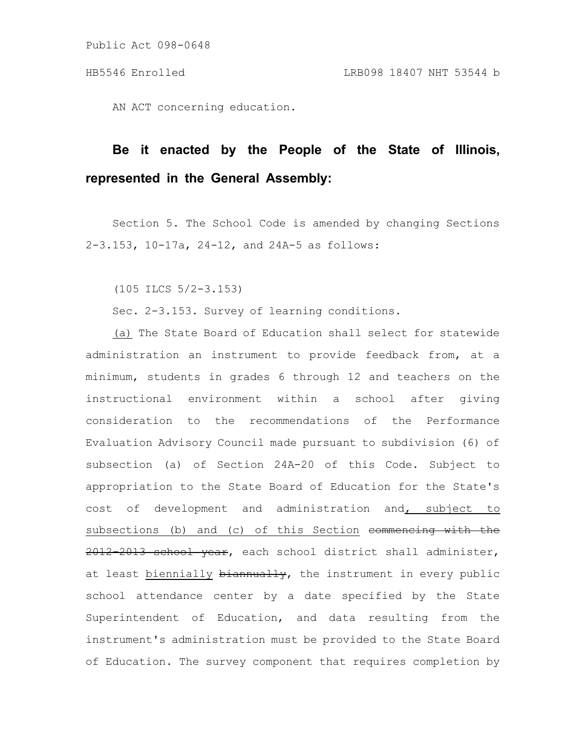Public Act 098-0648

AN ACT concerning education.

# **Be it enacted by the People of the State of Illinois, represented in the General Assembly:**

Section 5. The School Code is amended by changing Sections 2-3.153, 10-17a, 24-12, and 24A-5 as follows:

(105 ILCS 5/2-3.153)

Sec. 2-3.153. Survey of learning conditions.

(a) The State Board of Education shall select for statewide administration an instrument to provide feedback from, at a minimum, students in grades 6 through 12 and teachers on the instructional environment within a school after giving consideration to the recommendations of the Performance Evaluation Advisory Council made pursuant to subdivision (6) of subsection (a) of Section 24A-20 of this Code. Subject to appropriation to the State Board of Education for the State's cost of development and administration and, subject to subsections (b) and (c) of this Section commencing with the 2012-2013 school year, each school district shall administer, at least biennially biannually, the instrument in every public school attendance center by a date specified by the State Superintendent of Education, and data resulting from the instrument's administration must be provided to the State Board of Education. The survey component that requires completion by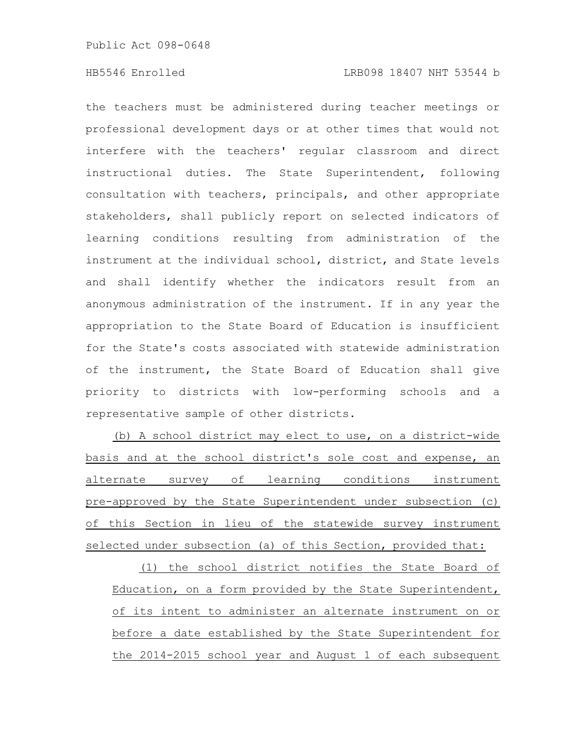the teachers must be administered during teacher meetings or professional development days or at other times that would not interfere with the teachers' regular classroom and direct instructional duties. The State Superintendent, following consultation with teachers, principals, and other appropriate stakeholders, shall publicly report on selected indicators of learning conditions resulting from administration of the instrument at the individual school, district, and State levels and shall identify whether the indicators result from an anonymous administration of the instrument. If in any year the appropriation to the State Board of Education is insufficient for the State's costs associated with statewide administration of the instrument, the State Board of Education shall give priority to districts with low-performing schools and a representative sample of other districts.

(b) A school district may elect to use, on a district-wide basis and at the school district's sole cost and expense, an alternate survey of learning conditions instrument pre-approved by the State Superintendent under subsection (c) of this Section in lieu of the statewide survey instrument selected under subsection (a) of this Section, provided that:

(1) the school district notifies the State Board of Education, on a form provided by the State Superintendent, of its intent to administer an alternate instrument on or before a date established by the State Superintendent for the 2014-2015 school year and August 1 of each subsequent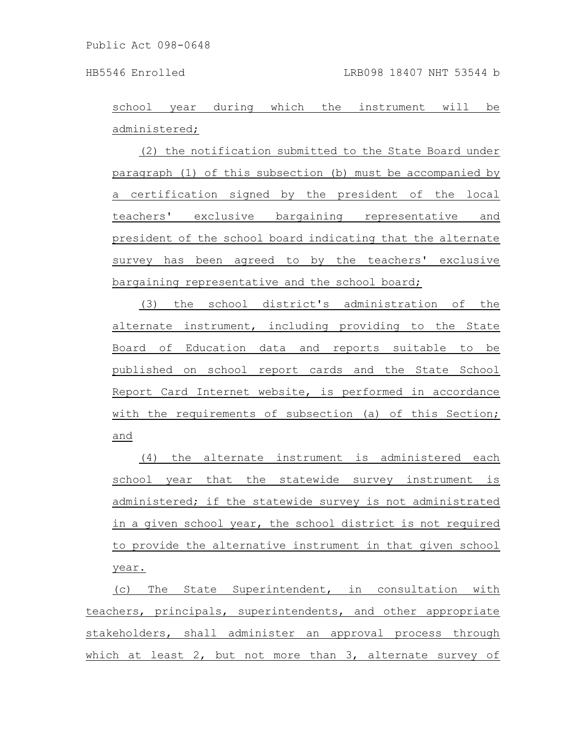school year during which the instrument will be administered;

(2) the notification submitted to the State Board under paragraph (1) of this subsection (b) must be accompanied by a certification signed by the president of the local teachers' exclusive bargaining representative and president of the school board indicating that the alternate survey has been agreed to by the teachers' exclusive bargaining representative and the school board;

(3) the school district's administration of the alternate instrument, including providing to the State Board of Education data and reports suitable to be published on school report cards and the State School Report Card Internet website, is performed in accordance with the requirements of subsection (a) of this Section; and

(4) the alternate instrument is administered each school year that the statewide survey instrument is administered; if the statewide survey is not administrated in a given school year, the school district is not required to provide the alternative instrument in that given school year.

(c) The State Superintendent, in consultation with teachers, principals, superintendents, and other appropriate stakeholders, shall administer an approval process through which at least 2, but not more than 3, alternate survey of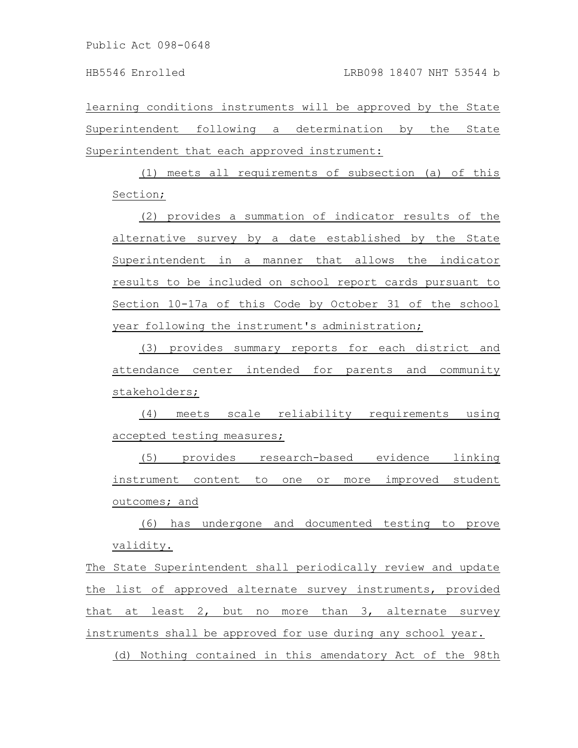learning conditions instruments will be approved by the State Superintendent following a determination by the State Superintendent that each approved instrument:

(1) meets all requirements of subsection (a) of this Section;

(2) provides a summation of indicator results of the alternative survey by a date established by the State Superintendent in a manner that allows the indicator results to be included on school report cards pursuant to Section 10-17a of this Code by October 31 of the school year following the instrument's administration;

(3) provides summary reports for each district and attendance center intended for parents and community stakeholders;

(4) meets scale reliability requirements using accepted testing measures;

(5) provides research-based evidence linking instrument content to one or more improved student outcomes; and

(6) has undergone and documented testing to prove validity.

The State Superintendent shall periodically review and update the list of approved alternate survey instruments, provided that at least 2, but no more than 3, alternate survey instruments shall be approved for use during any school year.

(d) Nothing contained in this amendatory Act of the 98th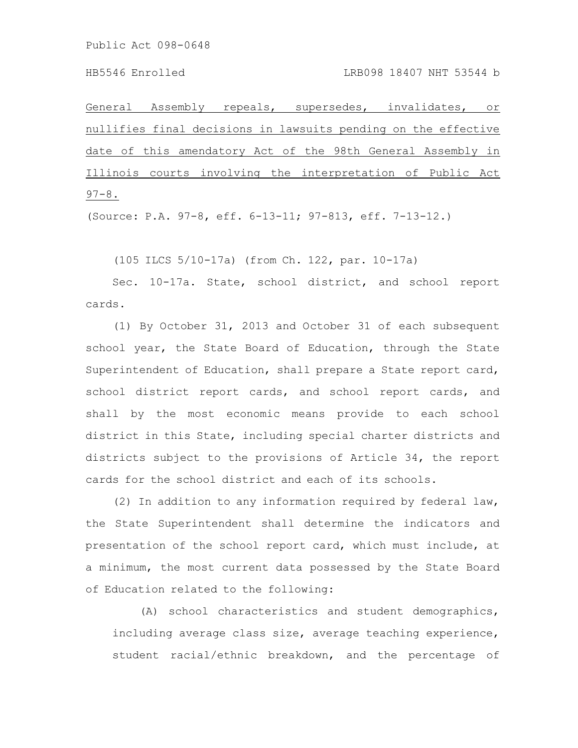General Assembly repeals, supersedes, invalidates, or nullifies final decisions in lawsuits pending on the effective date of this amendatory Act of the 98th General Assembly in Illinois courts involving the interpretation of Public Act  $97 - 8$ .

(Source: P.A. 97-8, eff. 6-13-11; 97-813, eff. 7-13-12.)

(105 ILCS 5/10-17a) (from Ch. 122, par. 10-17a)

Sec. 10-17a. State, school district, and school report cards.

(1) By October 31, 2013 and October 31 of each subsequent school year, the State Board of Education, through the State Superintendent of Education, shall prepare a State report card, school district report cards, and school report cards, and shall by the most economic means provide to each school district in this State, including special charter districts and districts subject to the provisions of Article 34, the report cards for the school district and each of its schools.

(2) In addition to any information required by federal law, the State Superintendent shall determine the indicators and presentation of the school report card, which must include, at a minimum, the most current data possessed by the State Board of Education related to the following:

(A) school characteristics and student demographics, including average class size, average teaching experience, student racial/ethnic breakdown, and the percentage of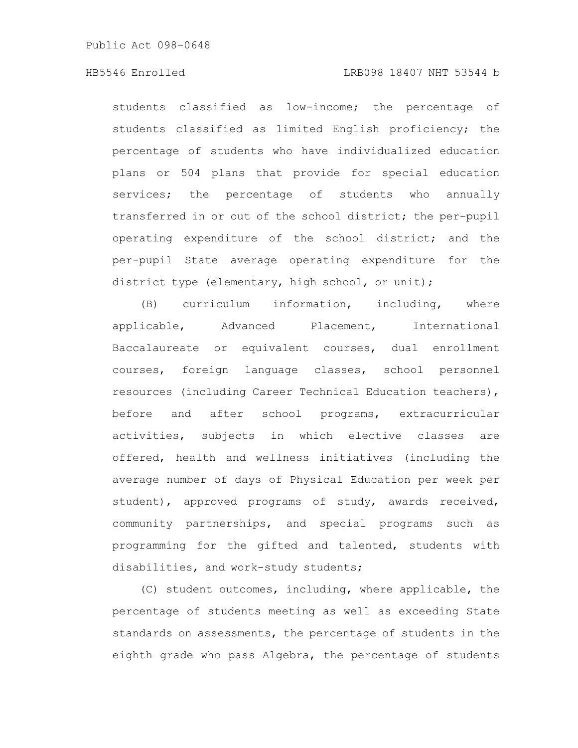students classified as low-income; the percentage of students classified as limited English proficiency; the percentage of students who have individualized education plans or 504 plans that provide for special education services; the percentage of students who annually transferred in or out of the school district; the per-pupil operating expenditure of the school district; and the per-pupil State average operating expenditure for the district type (elementary, high school, or unit);

(B) curriculum information, including, where applicable, Advanced Placement, International Baccalaureate or equivalent courses, dual enrollment courses, foreign language classes, school personnel resources (including Career Technical Education teachers), before and after school programs, extracurricular activities, subjects in which elective classes are offered, health and wellness initiatives (including the average number of days of Physical Education per week per student), approved programs of study, awards received, community partnerships, and special programs such as programming for the gifted and talented, students with disabilities, and work-study students;

(C) student outcomes, including, where applicable, the percentage of students meeting as well as exceeding State standards on assessments, the percentage of students in the eighth grade who pass Algebra, the percentage of students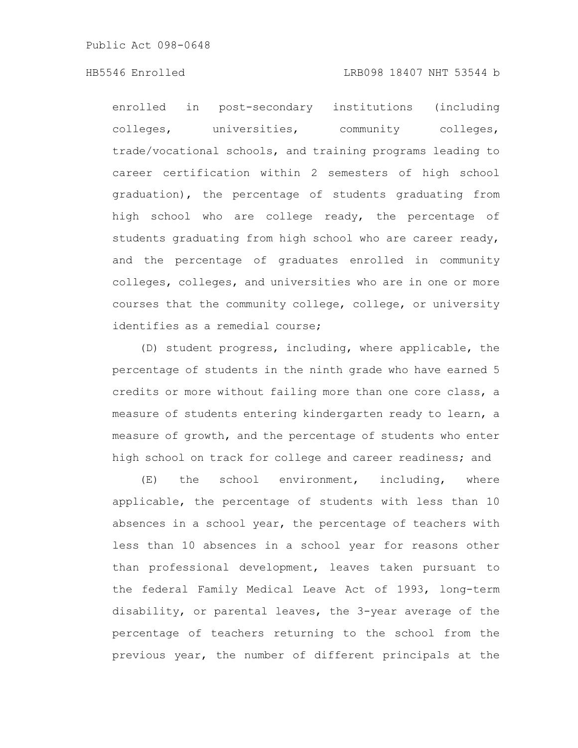enrolled in post-secondary institutions (including colleges, universities, community colleges, trade/vocational schools, and training programs leading to career certification within 2 semesters of high school graduation), the percentage of students graduating from high school who are college ready, the percentage of students graduating from high school who are career ready, and the percentage of graduates enrolled in community colleges, colleges, and universities who are in one or more courses that the community college, college, or university identifies as a remedial course;

(D) student progress, including, where applicable, the percentage of students in the ninth grade who have earned 5 credits or more without failing more than one core class, a measure of students entering kindergarten ready to learn, a measure of growth, and the percentage of students who enter high school on track for college and career readiness; and

(E) the school environment, including, where applicable, the percentage of students with less than 10 absences in a school year, the percentage of teachers with less than 10 absences in a school year for reasons other than professional development, leaves taken pursuant to the federal Family Medical Leave Act of 1993, long-term disability, or parental leaves, the 3-year average of the percentage of teachers returning to the school from the previous year, the number of different principals at the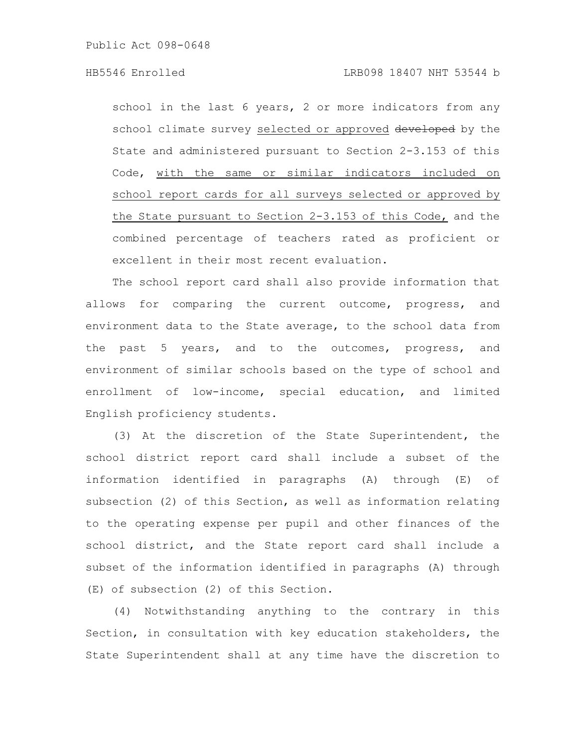school in the last 6 years, 2 or more indicators from any school climate survey selected or approved developed by the State and administered pursuant to Section 2-3.153 of this Code, with the same or similar indicators included on school report cards for all surveys selected or approved by the State pursuant to Section 2-3.153 of this Code, and the combined percentage of teachers rated as proficient or excellent in their most recent evaluation.

The school report card shall also provide information that allows for comparing the current outcome, progress, and environment data to the State average, to the school data from the past 5 years, and to the outcomes, progress, and environment of similar schools based on the type of school and enrollment of low-income, special education, and limited English proficiency students.

(3) At the discretion of the State Superintendent, the school district report card shall include a subset of the information identified in paragraphs (A) through (E) of subsection (2) of this Section, as well as information relating to the operating expense per pupil and other finances of the school district, and the State report card shall include a subset of the information identified in paragraphs (A) through (E) of subsection (2) of this Section.

(4) Notwithstanding anything to the contrary in this Section, in consultation with key education stakeholders, the State Superintendent shall at any time have the discretion to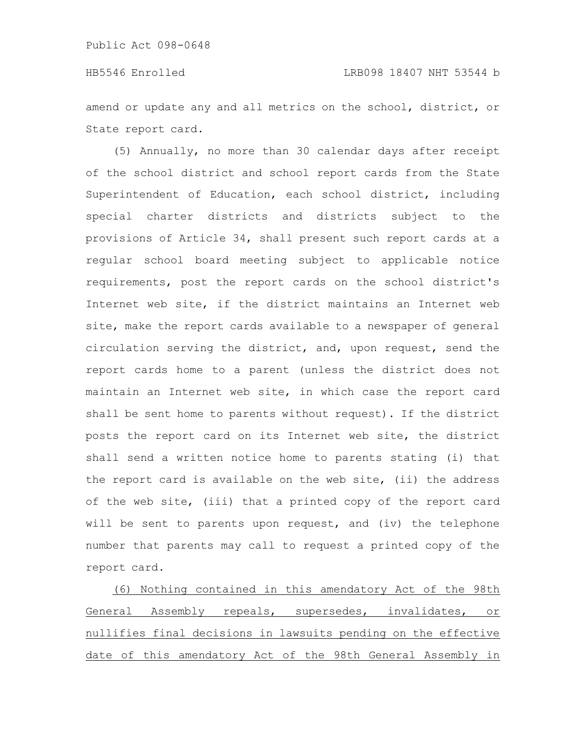amend or update any and all metrics on the school, district, or State report card.

(5) Annually, no more than 30 calendar days after receipt of the school district and school report cards from the State Superintendent of Education, each school district, including special charter districts and districts subject to the provisions of Article 34, shall present such report cards at a regular school board meeting subject to applicable notice requirements, post the report cards on the school district's Internet web site, if the district maintains an Internet web site, make the report cards available to a newspaper of general circulation serving the district, and, upon request, send the report cards home to a parent (unless the district does not maintain an Internet web site, in which case the report card shall be sent home to parents without request). If the district posts the report card on its Internet web site, the district shall send a written notice home to parents stating (i) that the report card is available on the web site, (ii) the address of the web site, (iii) that a printed copy of the report card will be sent to parents upon request, and (iv) the telephone number that parents may call to request a printed copy of the report card.

(6) Nothing contained in this amendatory Act of the 98th General Assembly repeals, supersedes, invalidates, or nullifies final decisions in lawsuits pending on the effective date of this amendatory Act of the 98th General Assembly in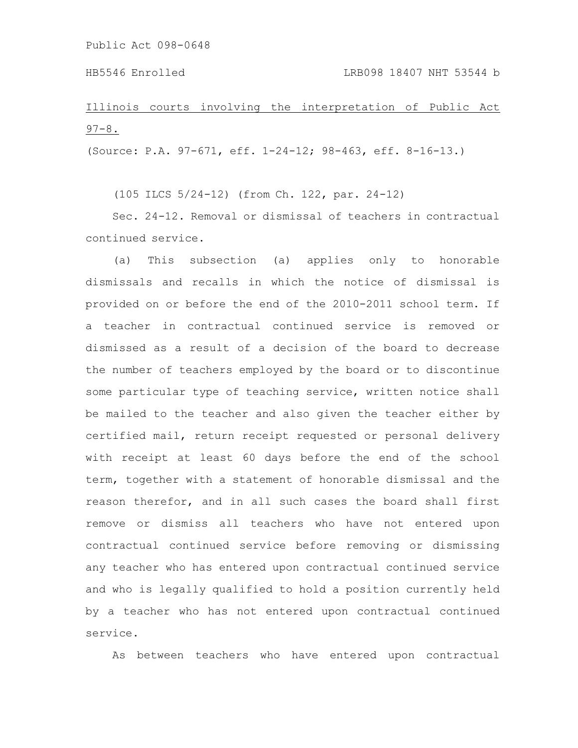Illinois courts involving the interpretation of Public Act  $97 - 8$ .

(Source: P.A. 97-671, eff. 1-24-12; 98-463, eff. 8-16-13.)

(105 ILCS 5/24-12) (from Ch. 122, par. 24-12)

Sec. 24-12. Removal or dismissal of teachers in contractual continued service.

(a) This subsection (a) applies only to honorable dismissals and recalls in which the notice of dismissal is provided on or before the end of the 2010-2011 school term. If a teacher in contractual continued service is removed or dismissed as a result of a decision of the board to decrease the number of teachers employed by the board or to discontinue some particular type of teaching service, written notice shall be mailed to the teacher and also given the teacher either by certified mail, return receipt requested or personal delivery with receipt at least 60 days before the end of the school term, together with a statement of honorable dismissal and the reason therefor, and in all such cases the board shall first remove or dismiss all teachers who have not entered upon contractual continued service before removing or dismissing any teacher who has entered upon contractual continued service and who is legally qualified to hold a position currently held by a teacher who has not entered upon contractual continued service.

As between teachers who have entered upon contractual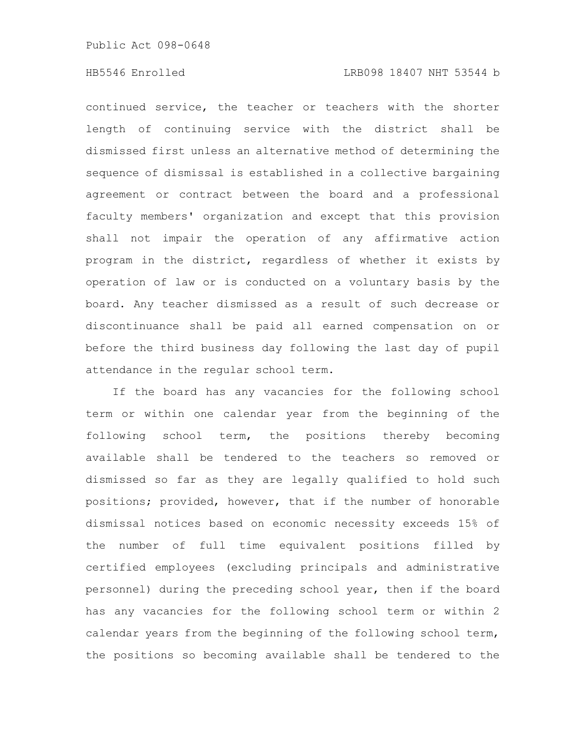continued service, the teacher or teachers with the shorter length of continuing service with the district shall be dismissed first unless an alternative method of determining the sequence of dismissal is established in a collective bargaining agreement or contract between the board and a professional faculty members' organization and except that this provision shall not impair the operation of any affirmative action program in the district, regardless of whether it exists by operation of law or is conducted on a voluntary basis by the board. Any teacher dismissed as a result of such decrease or discontinuance shall be paid all earned compensation on or before the third business day following the last day of pupil attendance in the regular school term.

If the board has any vacancies for the following school term or within one calendar year from the beginning of the following school term, the positions thereby becoming available shall be tendered to the teachers so removed or dismissed so far as they are legally qualified to hold such positions; provided, however, that if the number of honorable dismissal notices based on economic necessity exceeds 15% of the number of full time equivalent positions filled by certified employees (excluding principals and administrative personnel) during the preceding school year, then if the board has any vacancies for the following school term or within 2 calendar years from the beginning of the following school term, the positions so becoming available shall be tendered to the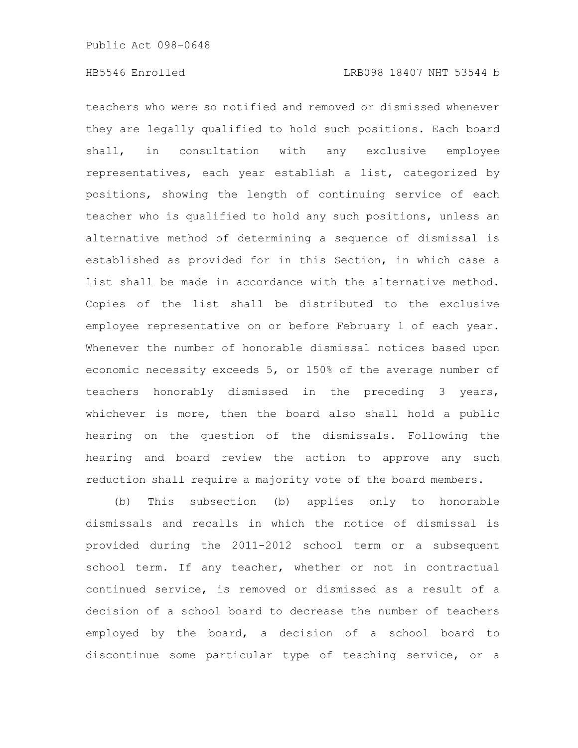teachers who were so notified and removed or dismissed whenever they are legally qualified to hold such positions. Each board shall, in consultation with any exclusive employee representatives, each year establish a list, categorized by positions, showing the length of continuing service of each teacher who is qualified to hold any such positions, unless an alternative method of determining a sequence of dismissal is established as provided for in this Section, in which case a list shall be made in accordance with the alternative method. Copies of the list shall be distributed to the exclusive employee representative on or before February 1 of each year. Whenever the number of honorable dismissal notices based upon economic necessity exceeds 5, or 150% of the average number of teachers honorably dismissed in the preceding 3 years, whichever is more, then the board also shall hold a public hearing on the question of the dismissals. Following the hearing and board review the action to approve any such reduction shall require a majority vote of the board members.

(b) This subsection (b) applies only to honorable dismissals and recalls in which the notice of dismissal is provided during the 2011-2012 school term or a subsequent school term. If any teacher, whether or not in contractual continued service, is removed or dismissed as a result of a decision of a school board to decrease the number of teachers employed by the board, a decision of a school board to discontinue some particular type of teaching service, or a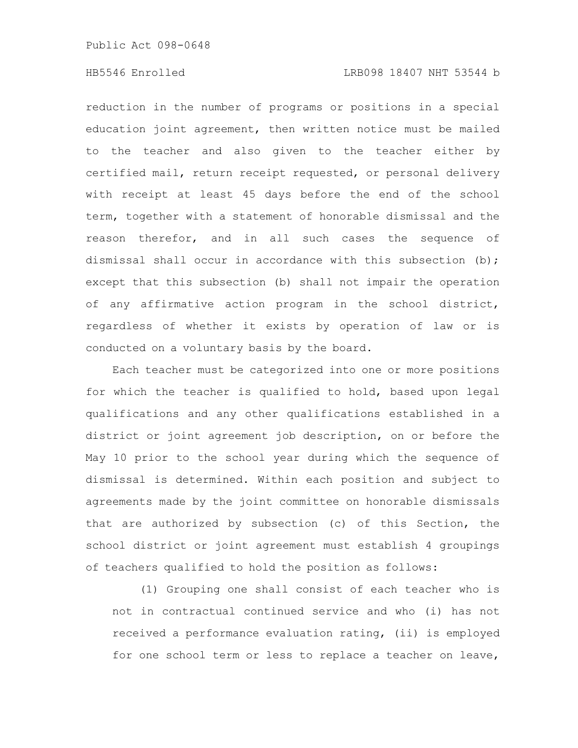reduction in the number of programs or positions in a special education joint agreement, then written notice must be mailed to the teacher and also given to the teacher either by certified mail, return receipt requested, or personal delivery with receipt at least 45 days before the end of the school term, together with a statement of honorable dismissal and the reason therefor, and in all such cases the sequence of dismissal shall occur in accordance with this subsection (b); except that this subsection (b) shall not impair the operation of any affirmative action program in the school district, regardless of whether it exists by operation of law or is conducted on a voluntary basis by the board.

Each teacher must be categorized into one or more positions for which the teacher is qualified to hold, based upon legal qualifications and any other qualifications established in a district or joint agreement job description, on or before the May 10 prior to the school year during which the sequence of dismissal is determined. Within each position and subject to agreements made by the joint committee on honorable dismissals that are authorized by subsection (c) of this Section, the school district or joint agreement must establish 4 groupings of teachers qualified to hold the position as follows:

(1) Grouping one shall consist of each teacher who is not in contractual continued service and who (i) has not received a performance evaluation rating, (ii) is employed for one school term or less to replace a teacher on leave,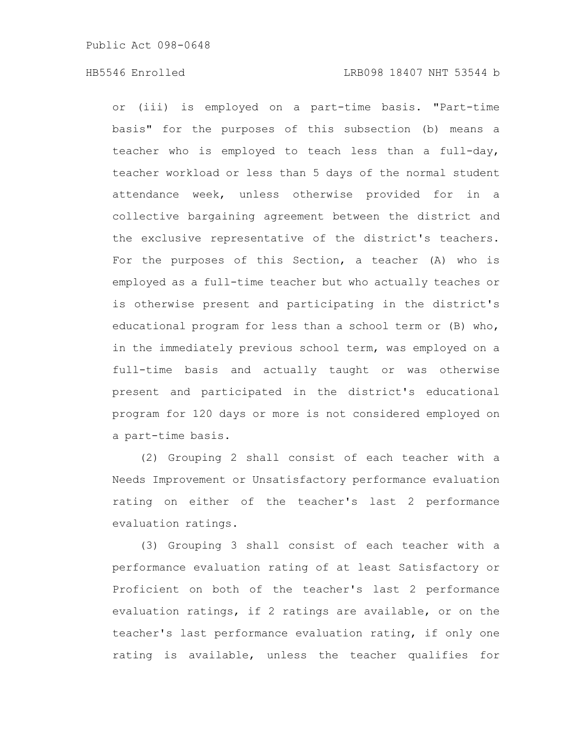or (iii) is employed on a part-time basis. "Part-time basis" for the purposes of this subsection (b) means a teacher who is employed to teach less than a full-day, teacher workload or less than 5 days of the normal student attendance week, unless otherwise provided for in a collective bargaining agreement between the district and the exclusive representative of the district's teachers. For the purposes of this Section, a teacher (A) who is employed as a full-time teacher but who actually teaches or is otherwise present and participating in the district's educational program for less than a school term or (B) who, in the immediately previous school term, was employed on a full-time basis and actually taught or was otherwise present and participated in the district's educational program for 120 days or more is not considered employed on a part-time basis.

(2) Grouping 2 shall consist of each teacher with a Needs Improvement or Unsatisfactory performance evaluation rating on either of the teacher's last 2 performance evaluation ratings.

(3) Grouping 3 shall consist of each teacher with a performance evaluation rating of at least Satisfactory or Proficient on both of the teacher's last 2 performance evaluation ratings, if 2 ratings are available, or on the teacher's last performance evaluation rating, if only one rating is available, unless the teacher qualifies for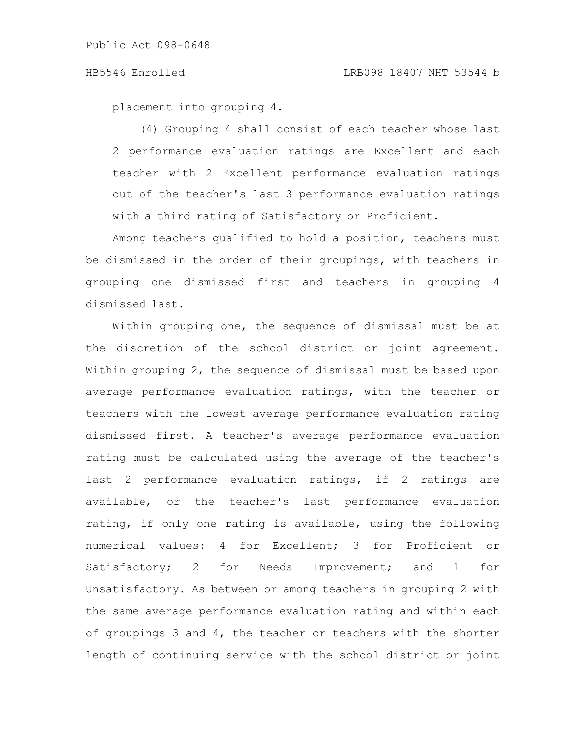placement into grouping 4.

(4) Grouping 4 shall consist of each teacher whose last 2 performance evaluation ratings are Excellent and each teacher with 2 Excellent performance evaluation ratings out of the teacher's last 3 performance evaluation ratings with a third rating of Satisfactory or Proficient.

Among teachers qualified to hold a position, teachers must be dismissed in the order of their groupings, with teachers in grouping one dismissed first and teachers in grouping 4 dismissed last.

Within grouping one, the sequence of dismissal must be at the discretion of the school district or joint agreement. Within grouping 2, the sequence of dismissal must be based upon average performance evaluation ratings, with the teacher or teachers with the lowest average performance evaluation rating dismissed first. A teacher's average performance evaluation rating must be calculated using the average of the teacher's last 2 performance evaluation ratings, if 2 ratings are available, or the teacher's last performance evaluation rating, if only one rating is available, using the following numerical values: 4 for Excellent; 3 for Proficient or Satisfactory; 2 for Needs Improvement; and 1 for Unsatisfactory. As between or among teachers in grouping 2 with the same average performance evaluation rating and within each of groupings 3 and 4, the teacher or teachers with the shorter length of continuing service with the school district or joint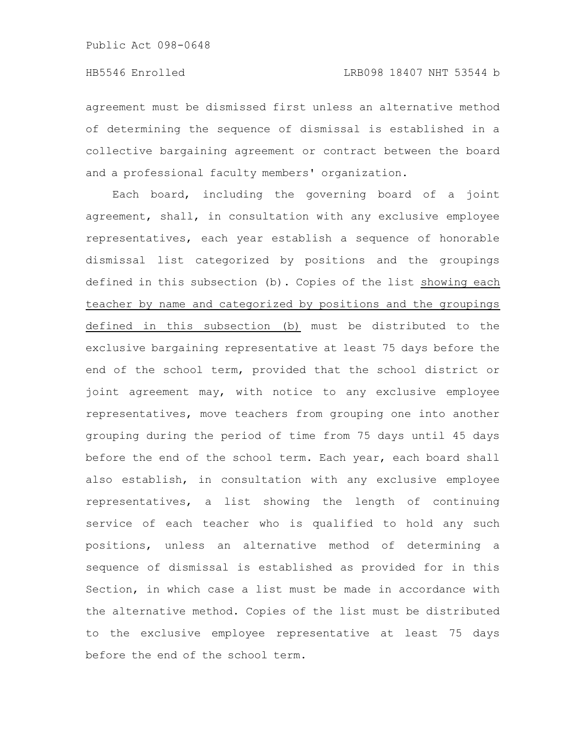agreement must be dismissed first unless an alternative method of determining the sequence of dismissal is established in a collective bargaining agreement or contract between the board and a professional faculty members' organization.

Each board, including the governing board of a joint agreement, shall, in consultation with any exclusive employee representatives, each year establish a sequence of honorable dismissal list categorized by positions and the groupings defined in this subsection (b). Copies of the list showing each teacher by name and categorized by positions and the groupings defined in this subsection (b) must be distributed to the exclusive bargaining representative at least 75 days before the end of the school term, provided that the school district or joint agreement may, with notice to any exclusive employee representatives, move teachers from grouping one into another grouping during the period of time from 75 days until 45 days before the end of the school term. Each year, each board shall also establish, in consultation with any exclusive employee representatives, a list showing the length of continuing service of each teacher who is qualified to hold any such positions, unless an alternative method of determining a sequence of dismissal is established as provided for in this Section, in which case a list must be made in accordance with the alternative method. Copies of the list must be distributed to the exclusive employee representative at least 75 days before the end of the school term.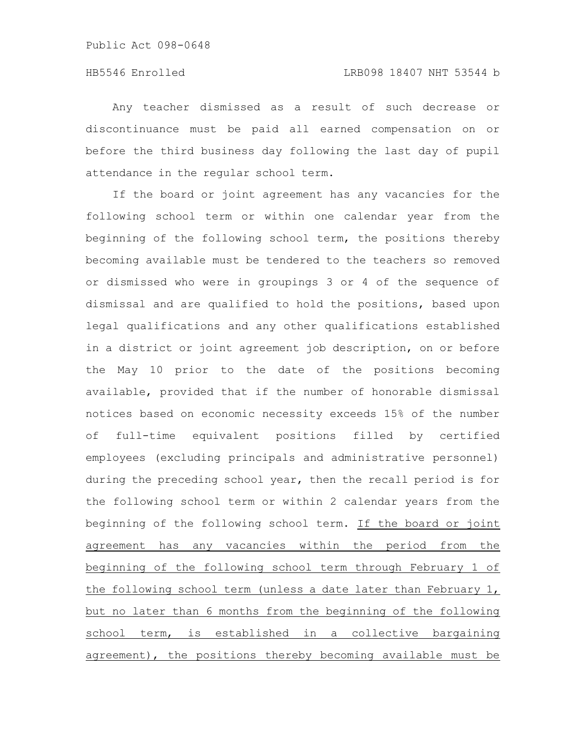Any teacher dismissed as a result of such decrease or discontinuance must be paid all earned compensation on or before the third business day following the last day of pupil attendance in the regular school term.

If the board or joint agreement has any vacancies for the following school term or within one calendar year from the beginning of the following school term, the positions thereby becoming available must be tendered to the teachers so removed or dismissed who were in groupings 3 or 4 of the sequence of dismissal and are qualified to hold the positions, based upon legal qualifications and any other qualifications established in a district or joint agreement job description, on or before the May 10 prior to the date of the positions becoming available, provided that if the number of honorable dismissal notices based on economic necessity exceeds 15% of the number of full-time equivalent positions filled by certified employees (excluding principals and administrative personnel) during the preceding school year, then the recall period is for the following school term or within 2 calendar years from the beginning of the following school term. If the board or joint agreement has any vacancies within the period from the beginning of the following school term through February 1 of the following school term (unless a date later than February 1, but no later than 6 months from the beginning of the following school term, is established in a collective bargaining agreement), the positions thereby becoming available must be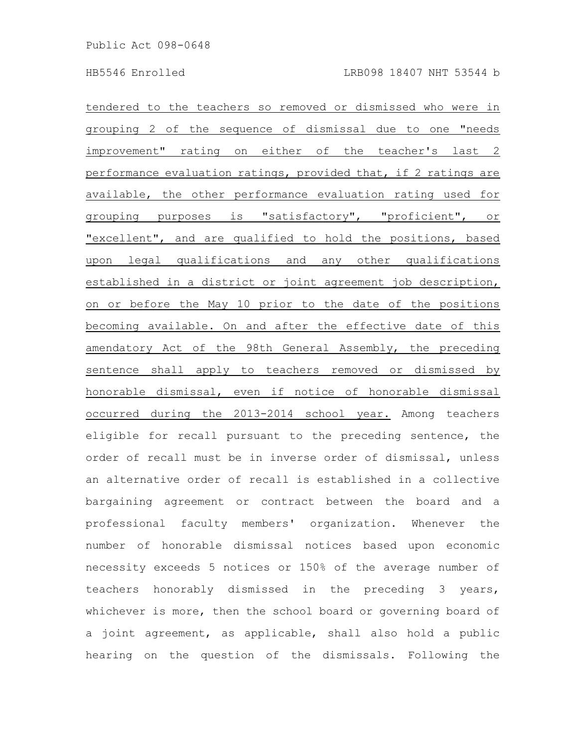tendered to the teachers so removed or dismissed who were in grouping 2 of the sequence of dismissal due to one "needs improvement" rating on either of the teacher's last 2 performance evaluation ratings, provided that, if 2 ratings are available, the other performance evaluation rating used for grouping purposes is "satisfactory", "proficient", or "excellent", and are qualified to hold the positions, based upon legal qualifications and any other qualifications established in a district or joint agreement job description, on or before the May 10 prior to the date of the positions becoming available. On and after the effective date of this amendatory Act of the 98th General Assembly, the preceding sentence shall apply to teachers removed or dismissed by honorable dismissal, even if notice of honorable dismissal occurred during the 2013-2014 school year. Among teachers eligible for recall pursuant to the preceding sentence, the order of recall must be in inverse order of dismissal, unless an alternative order of recall is established in a collective bargaining agreement or contract between the board and a professional faculty members' organization. Whenever the number of honorable dismissal notices based upon economic necessity exceeds 5 notices or 150% of the average number of teachers honorably dismissed in the preceding 3 years, whichever is more, then the school board or governing board of a joint agreement, as applicable, shall also hold a public hearing on the question of the dismissals. Following the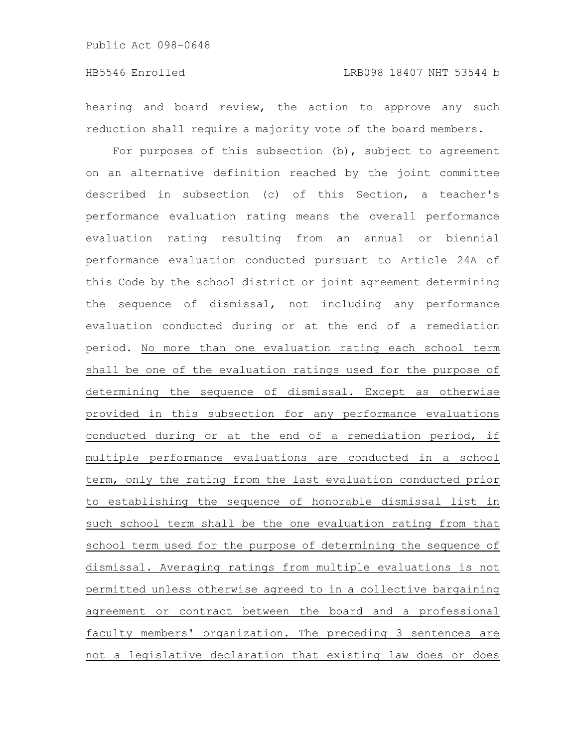hearing and board review, the action to approve any such reduction shall require a majority vote of the board members.

For purposes of this subsection (b), subject to agreement on an alternative definition reached by the joint committee described in subsection (c) of this Section, a teacher's performance evaluation rating means the overall performance evaluation rating resulting from an annual or biennial performance evaluation conducted pursuant to Article 24A of this Code by the school district or joint agreement determining the sequence of dismissal, not including any performance evaluation conducted during or at the end of a remediation period. No more than one evaluation rating each school term shall be one of the evaluation ratings used for the purpose of determining the sequence of dismissal. Except as otherwise provided in this subsection for any performance evaluations conducted during or at the end of a remediation period, if multiple performance evaluations are conducted in a school term, only the rating from the last evaluation conducted prior to establishing the sequence of honorable dismissal list in such school term shall be the one evaluation rating from that school term used for the purpose of determining the sequence of dismissal. Averaging ratings from multiple evaluations is not permitted unless otherwise agreed to in a collective bargaining agreement or contract between the board and a professional faculty members' organization. The preceding 3 sentences are not a legislative declaration that existing law does or does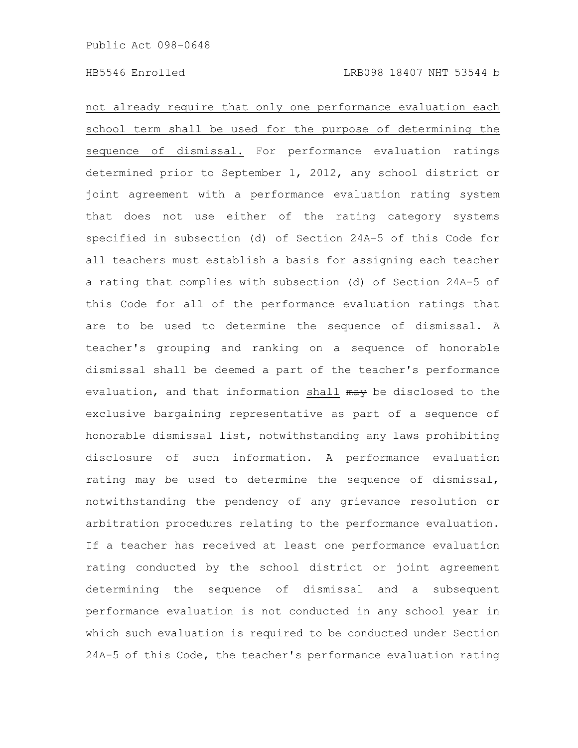not already require that only one performance evaluation each school term shall be used for the purpose of determining the sequence of dismissal. For performance evaluation ratings determined prior to September 1, 2012, any school district or joint agreement with a performance evaluation rating system that does not use either of the rating category systems specified in subsection (d) of Section 24A-5 of this Code for all teachers must establish a basis for assigning each teacher a rating that complies with subsection (d) of Section 24A-5 of this Code for all of the performance evaluation ratings that are to be used to determine the sequence of dismissal. A teacher's grouping and ranking on a sequence of honorable dismissal shall be deemed a part of the teacher's performance evaluation, and that information shall may be disclosed to the exclusive bargaining representative as part of a sequence of honorable dismissal list, notwithstanding any laws prohibiting disclosure of such information. A performance evaluation rating may be used to determine the sequence of dismissal, notwithstanding the pendency of any grievance resolution or arbitration procedures relating to the performance evaluation. If a teacher has received at least one performance evaluation rating conducted by the school district or joint agreement determining the sequence of dismissal and a subsequent performance evaluation is not conducted in any school year in which such evaluation is required to be conducted under Section 24A-5 of this Code, the teacher's performance evaluation rating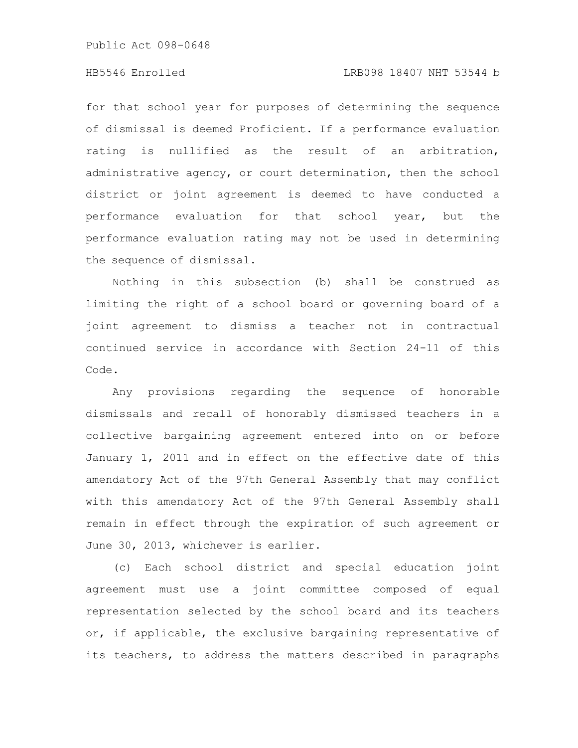Public Act 098-0648

# HB5546 Enrolled LRB098 18407 NHT 53544 b

for that school year for purposes of determining the sequence of dismissal is deemed Proficient. If a performance evaluation rating is nullified as the result of an arbitration, administrative agency, or court determination, then the school district or joint agreement is deemed to have conducted a performance evaluation for that school year, but the performance evaluation rating may not be used in determining the sequence of dismissal.

Nothing in this subsection (b) shall be construed as limiting the right of a school board or governing board of a joint agreement to dismiss a teacher not in contractual continued service in accordance with Section 24-11 of this Code.

Any provisions regarding the sequence of honorable dismissals and recall of honorably dismissed teachers in a collective bargaining agreement entered into on or before January 1, 2011 and in effect on the effective date of this amendatory Act of the 97th General Assembly that may conflict with this amendatory Act of the 97th General Assembly shall remain in effect through the expiration of such agreement or June 30, 2013, whichever is earlier.

(c) Each school district and special education joint agreement must use a joint committee composed of equal representation selected by the school board and its teachers or, if applicable, the exclusive bargaining representative of its teachers, to address the matters described in paragraphs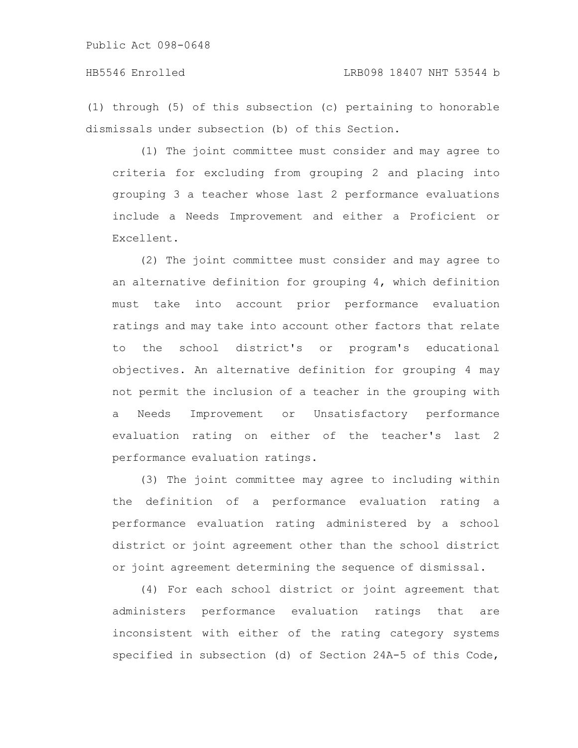(1) through (5) of this subsection (c) pertaining to honorable dismissals under subsection (b) of this Section.

(1) The joint committee must consider and may agree to criteria for excluding from grouping 2 and placing into grouping 3 a teacher whose last 2 performance evaluations include a Needs Improvement and either a Proficient or Excellent.

(2) The joint committee must consider and may agree to an alternative definition for grouping 4, which definition must take into account prior performance evaluation ratings and may take into account other factors that relate to the school district's or program's educational objectives. An alternative definition for grouping 4 may not permit the inclusion of a teacher in the grouping with a Needs Improvement or Unsatisfactory performance evaluation rating on either of the teacher's last 2 performance evaluation ratings.

(3) The joint committee may agree to including within the definition of a performance evaluation rating a performance evaluation rating administered by a school district or joint agreement other than the school district or joint agreement determining the sequence of dismissal.

(4) For each school district or joint agreement that administers performance evaluation ratings that are inconsistent with either of the rating category systems specified in subsection (d) of Section 24A-5 of this Code,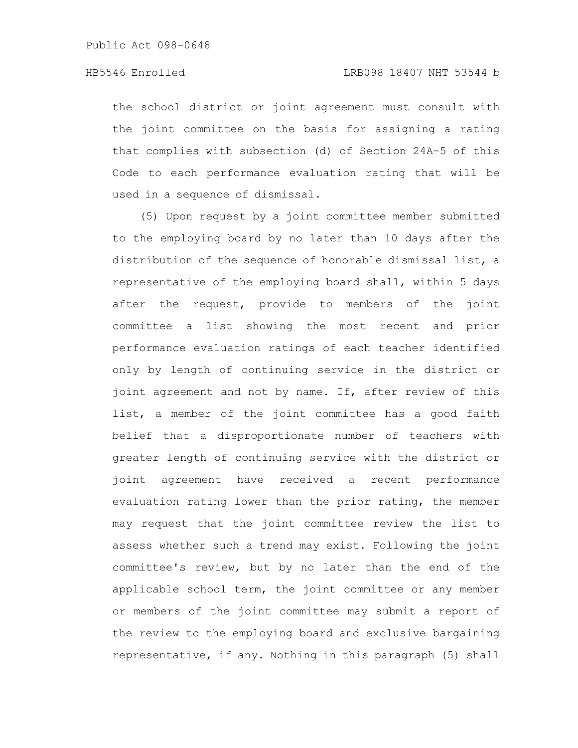the school district or joint agreement must consult with the joint committee on the basis for assigning a rating that complies with subsection (d) of Section 24A-5 of this Code to each performance evaluation rating that will be used in a sequence of dismissal.

(5) Upon request by a joint committee member submitted to the employing board by no later than 10 days after the distribution of the sequence of honorable dismissal list, a representative of the employing board shall, within 5 days after the request, provide to members of the joint committee a list showing the most recent and prior performance evaluation ratings of each teacher identified only by length of continuing service in the district or joint agreement and not by name. If, after review of this list, a member of the joint committee has a good faith belief that a disproportionate number of teachers with greater length of continuing service with the district or joint agreement have received a recent performance evaluation rating lower than the prior rating, the member may request that the joint committee review the list to assess whether such a trend may exist. Following the joint committee's review, but by no later than the end of the applicable school term, the joint committee or any member or members of the joint committee may submit a report of the review to the employing board and exclusive bargaining representative, if any. Nothing in this paragraph (5) shall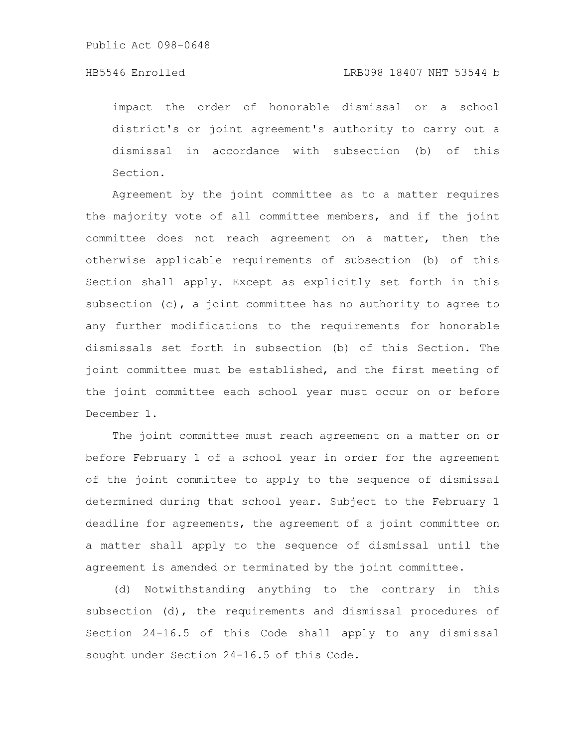impact the order of honorable dismissal or a school district's or joint agreement's authority to carry out a dismissal in accordance with subsection (b) of this Section.

Agreement by the joint committee as to a matter requires the majority vote of all committee members, and if the joint committee does not reach agreement on a matter, then the otherwise applicable requirements of subsection (b) of this Section shall apply. Except as explicitly set forth in this subsection  $(c)$ , a joint committee has no authority to agree to any further modifications to the requirements for honorable dismissals set forth in subsection (b) of this Section. The joint committee must be established, and the first meeting of the joint committee each school year must occur on or before December 1.

The joint committee must reach agreement on a matter on or before February 1 of a school year in order for the agreement of the joint committee to apply to the sequence of dismissal determined during that school year. Subject to the February 1 deadline for agreements, the agreement of a joint committee on a matter shall apply to the sequence of dismissal until the agreement is amended or terminated by the joint committee.

(d) Notwithstanding anything to the contrary in this subsection (d), the requirements and dismissal procedures of Section 24-16.5 of this Code shall apply to any dismissal sought under Section 24-16.5 of this Code.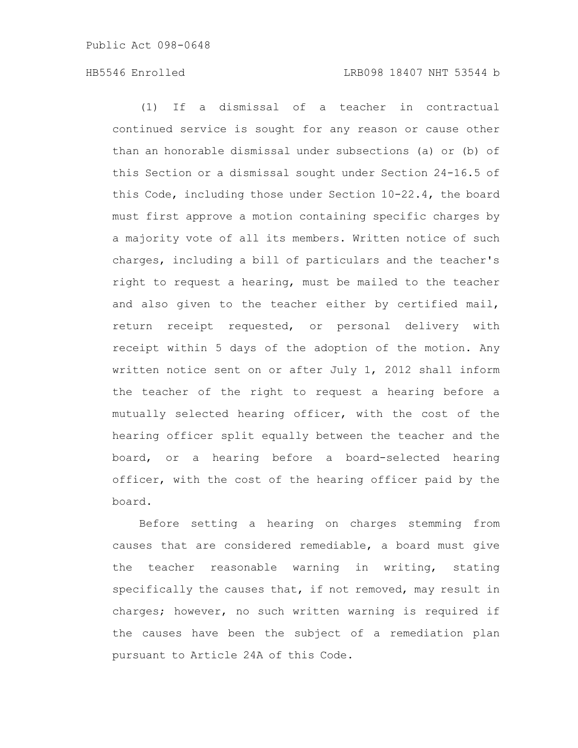(1) If a dismissal of a teacher in contractual continued service is sought for any reason or cause other than an honorable dismissal under subsections (a) or (b) of this Section or a dismissal sought under Section 24-16.5 of this Code, including those under Section 10-22.4, the board must first approve a motion containing specific charges by a majority vote of all its members. Written notice of such charges, including a bill of particulars and the teacher's right to request a hearing, must be mailed to the teacher and also given to the teacher either by certified mail, return receipt requested, or personal delivery with receipt within 5 days of the adoption of the motion. Any written notice sent on or after July 1, 2012 shall inform the teacher of the right to request a hearing before a mutually selected hearing officer, with the cost of the hearing officer split equally between the teacher and the board, or a hearing before a board-selected hearing officer, with the cost of the hearing officer paid by the board.

Before setting a hearing on charges stemming from causes that are considered remediable, a board must give the teacher reasonable warning in writing, stating specifically the causes that, if not removed, may result in charges; however, no such written warning is required if the causes have been the subject of a remediation plan pursuant to Article 24A of this Code.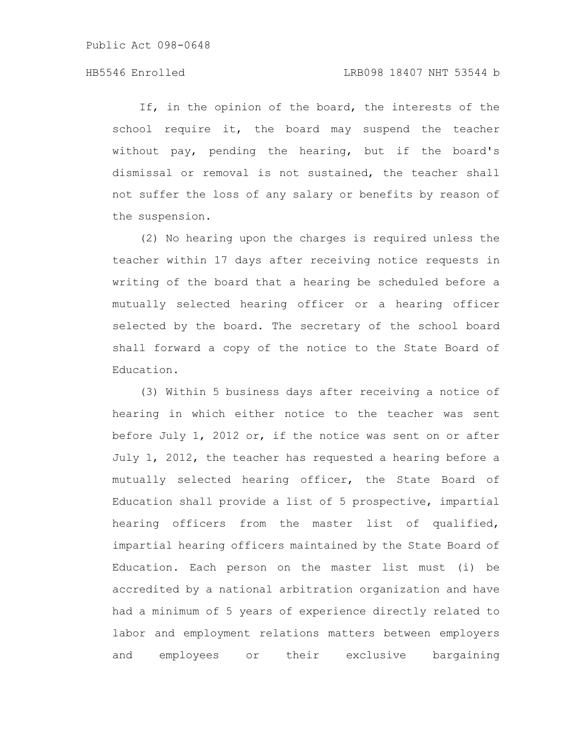If, in the opinion of the board, the interests of the school require it, the board may suspend the teacher without pay, pending the hearing, but if the board's dismissal or removal is not sustained, the teacher shall not suffer the loss of any salary or benefits by reason of the suspension.

(2) No hearing upon the charges is required unless the teacher within 17 days after receiving notice requests in writing of the board that a hearing be scheduled before a mutually selected hearing officer or a hearing officer selected by the board. The secretary of the school board shall forward a copy of the notice to the State Board of Education.

(3) Within 5 business days after receiving a notice of hearing in which either notice to the teacher was sent before July 1, 2012 or, if the notice was sent on or after July 1, 2012, the teacher has requested a hearing before a mutually selected hearing officer, the State Board of Education shall provide a list of 5 prospective, impartial hearing officers from the master list of qualified, impartial hearing officers maintained by the State Board of Education. Each person on the master list must (i) be accredited by a national arbitration organization and have had a minimum of 5 years of experience directly related to labor and employment relations matters between employers and employees or their exclusive bargaining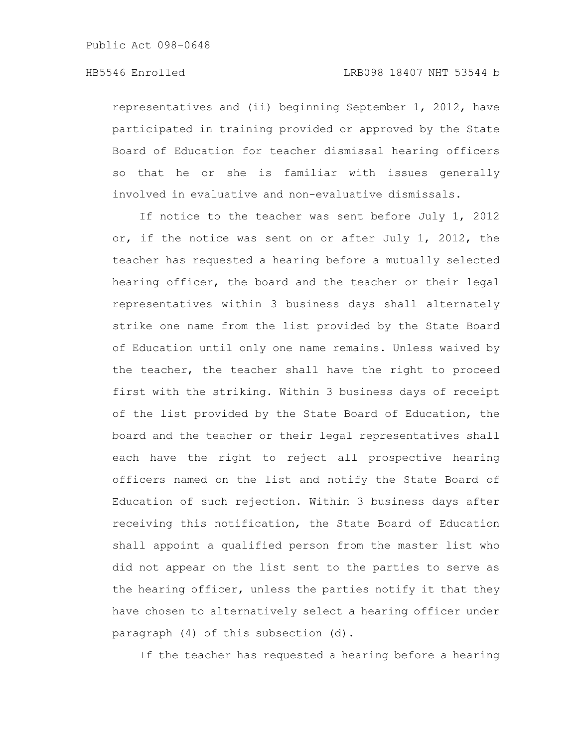representatives and (ii) beginning September 1, 2012, have participated in training provided or approved by the State Board of Education for teacher dismissal hearing officers so that he or she is familiar with issues generally involved in evaluative and non-evaluative dismissals.

If notice to the teacher was sent before July 1, 2012 or, if the notice was sent on or after July 1, 2012, the teacher has requested a hearing before a mutually selected hearing officer, the board and the teacher or their legal representatives within 3 business days shall alternately strike one name from the list provided by the State Board of Education until only one name remains. Unless waived by the teacher, the teacher shall have the right to proceed first with the striking. Within 3 business days of receipt of the list provided by the State Board of Education, the board and the teacher or their legal representatives shall each have the right to reject all prospective hearing officers named on the list and notify the State Board of Education of such rejection. Within 3 business days after receiving this notification, the State Board of Education shall appoint a qualified person from the master list who did not appear on the list sent to the parties to serve as the hearing officer, unless the parties notify it that they have chosen to alternatively select a hearing officer under paragraph (4) of this subsection (d).

If the teacher has requested a hearing before a hearing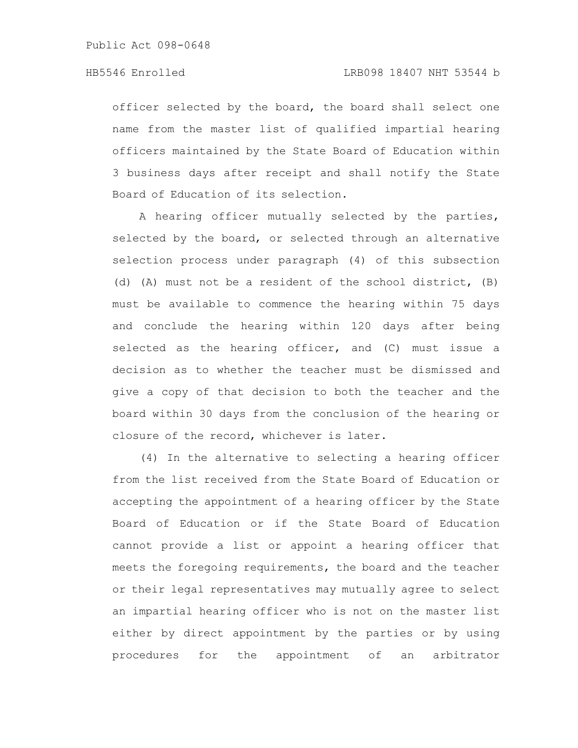Public Act 098-0648

officer selected by the board, the board shall select one name from the master list of qualified impartial hearing officers maintained by the State Board of Education within 3 business days after receipt and shall notify the State Board of Education of its selection.

A hearing officer mutually selected by the parties, selected by the board, or selected through an alternative selection process under paragraph (4) of this subsection (d) (A) must not be a resident of the school district, (B) must be available to commence the hearing within 75 days and conclude the hearing within 120 days after being selected as the hearing officer, and (C) must issue a decision as to whether the teacher must be dismissed and give a copy of that decision to both the teacher and the board within 30 days from the conclusion of the hearing or closure of the record, whichever is later.

(4) In the alternative to selecting a hearing officer from the list received from the State Board of Education or accepting the appointment of a hearing officer by the State Board of Education or if the State Board of Education cannot provide a list or appoint a hearing officer that meets the foregoing requirements, the board and the teacher or their legal representatives may mutually agree to select an impartial hearing officer who is not on the master list either by direct appointment by the parties or by using procedures for the appointment of an arbitrator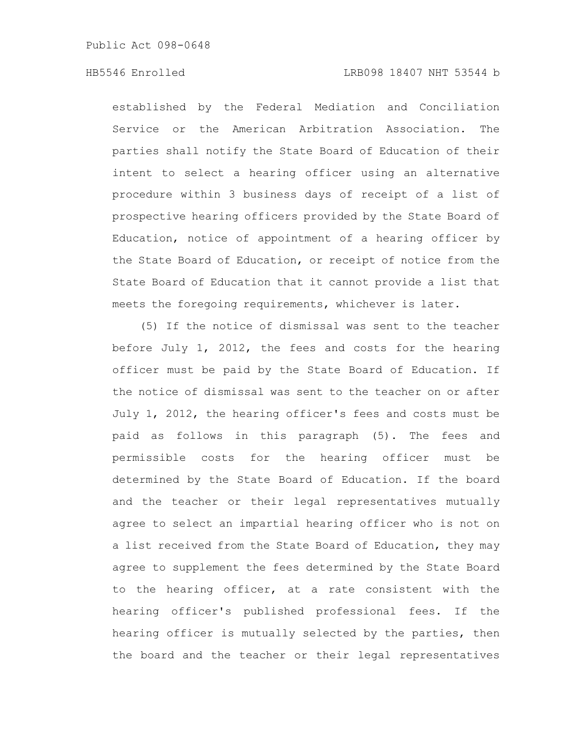established by the Federal Mediation and Conciliation Service or the American Arbitration Association. The parties shall notify the State Board of Education of their intent to select a hearing officer using an alternative procedure within 3 business days of receipt of a list of prospective hearing officers provided by the State Board of Education, notice of appointment of a hearing officer by the State Board of Education, or receipt of notice from the State Board of Education that it cannot provide a list that meets the foregoing requirements, whichever is later.

(5) If the notice of dismissal was sent to the teacher before July 1, 2012, the fees and costs for the hearing officer must be paid by the State Board of Education. If the notice of dismissal was sent to the teacher on or after July 1, 2012, the hearing officer's fees and costs must be paid as follows in this paragraph (5). The fees and permissible costs for the hearing officer must be determined by the State Board of Education. If the board and the teacher or their legal representatives mutually agree to select an impartial hearing officer who is not on a list received from the State Board of Education, they may agree to supplement the fees determined by the State Board to the hearing officer, at a rate consistent with the hearing officer's published professional fees. If the hearing officer is mutually selected by the parties, then the board and the teacher or their legal representatives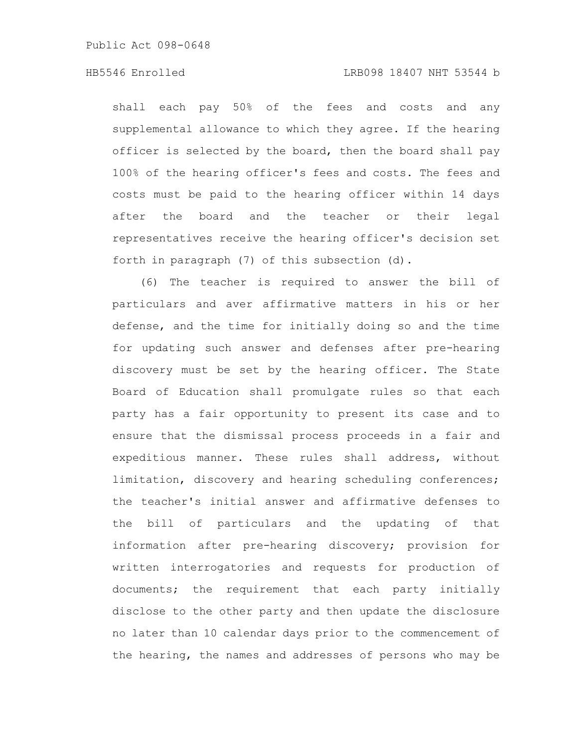Public Act 098-0648

# HB5546 Enrolled LRB098 18407 NHT 53544 b

shall each pay 50% of the fees and costs and any supplemental allowance to which they agree. If the hearing officer is selected by the board, then the board shall pay 100% of the hearing officer's fees and costs. The fees and costs must be paid to the hearing officer within 14 days after the board and the teacher or their legal representatives receive the hearing officer's decision set forth in paragraph (7) of this subsection (d).

(6) The teacher is required to answer the bill of particulars and aver affirmative matters in his or her defense, and the time for initially doing so and the time for updating such answer and defenses after pre-hearing discovery must be set by the hearing officer. The State Board of Education shall promulgate rules so that each party has a fair opportunity to present its case and to ensure that the dismissal process proceeds in a fair and expeditious manner. These rules shall address, without limitation, discovery and hearing scheduling conferences; the teacher's initial answer and affirmative defenses to the bill of particulars and the updating of that information after pre-hearing discovery; provision for written interrogatories and requests for production of documents; the requirement that each party initially disclose to the other party and then update the disclosure no later than 10 calendar days prior to the commencement of the hearing, the names and addresses of persons who may be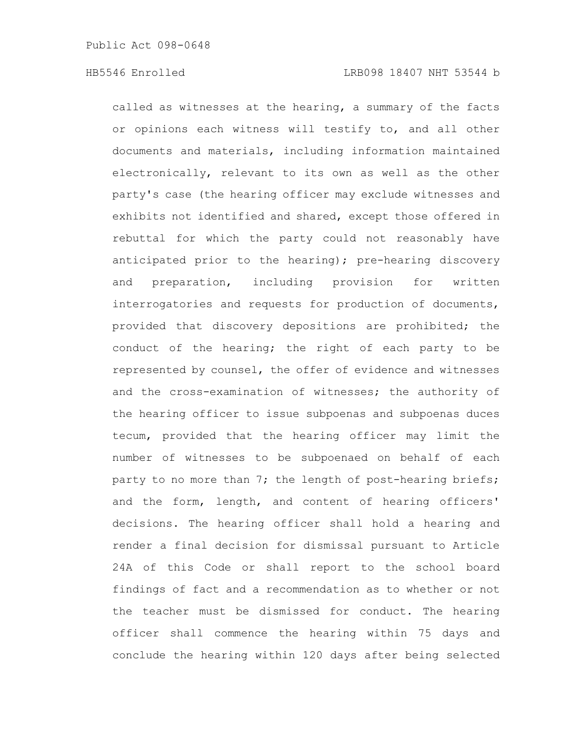called as witnesses at the hearing, a summary of the facts or opinions each witness will testify to, and all other documents and materials, including information maintained electronically, relevant to its own as well as the other party's case (the hearing officer may exclude witnesses and exhibits not identified and shared, except those offered in rebuttal for which the party could not reasonably have anticipated prior to the hearing); pre-hearing discovery and preparation, including provision for written interrogatories and requests for production of documents, provided that discovery depositions are prohibited; the conduct of the hearing; the right of each party to be represented by counsel, the offer of evidence and witnesses and the cross-examination of witnesses; the authority of the hearing officer to issue subpoenas and subpoenas duces tecum, provided that the hearing officer may limit the number of witnesses to be subpoenaed on behalf of each party to no more than 7; the length of post-hearing briefs; and the form, length, and content of hearing officers' decisions. The hearing officer shall hold a hearing and render a final decision for dismissal pursuant to Article 24A of this Code or shall report to the school board findings of fact and a recommendation as to whether or not the teacher must be dismissed for conduct. The hearing officer shall commence the hearing within 75 days and conclude the hearing within 120 days after being selected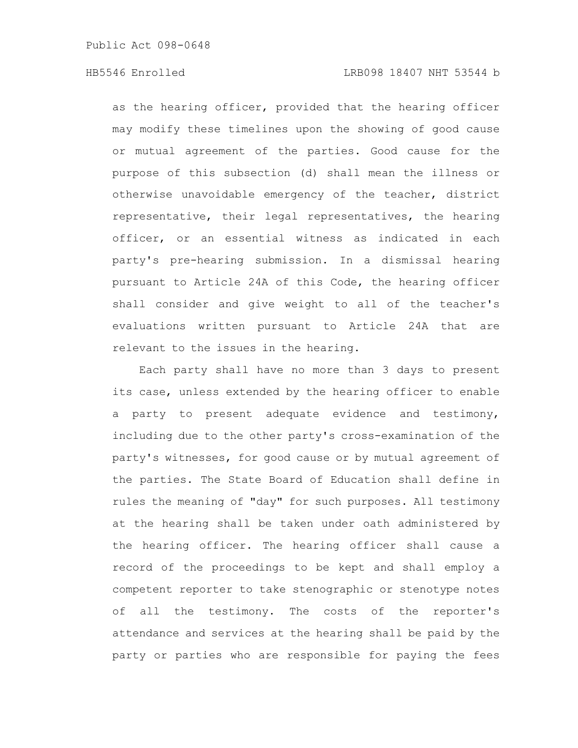Public Act 098-0648

as the hearing officer, provided that the hearing officer may modify these timelines upon the showing of good cause or mutual agreement of the parties. Good cause for the purpose of this subsection (d) shall mean the illness or otherwise unavoidable emergency of the teacher, district representative, their legal representatives, the hearing officer, or an essential witness as indicated in each party's pre-hearing submission. In a dismissal hearing pursuant to Article 24A of this Code, the hearing officer shall consider and give weight to all of the teacher's evaluations written pursuant to Article 24A that are relevant to the issues in the hearing.

Each party shall have no more than 3 days to present its case, unless extended by the hearing officer to enable a party to present adequate evidence and testimony, including due to the other party's cross-examination of the party's witnesses, for good cause or by mutual agreement of the parties. The State Board of Education shall define in rules the meaning of "day" for such purposes. All testimony at the hearing shall be taken under oath administered by the hearing officer. The hearing officer shall cause a record of the proceedings to be kept and shall employ a competent reporter to take stenographic or stenotype notes of all the testimony. The costs of the reporter's attendance and services at the hearing shall be paid by the party or parties who are responsible for paying the fees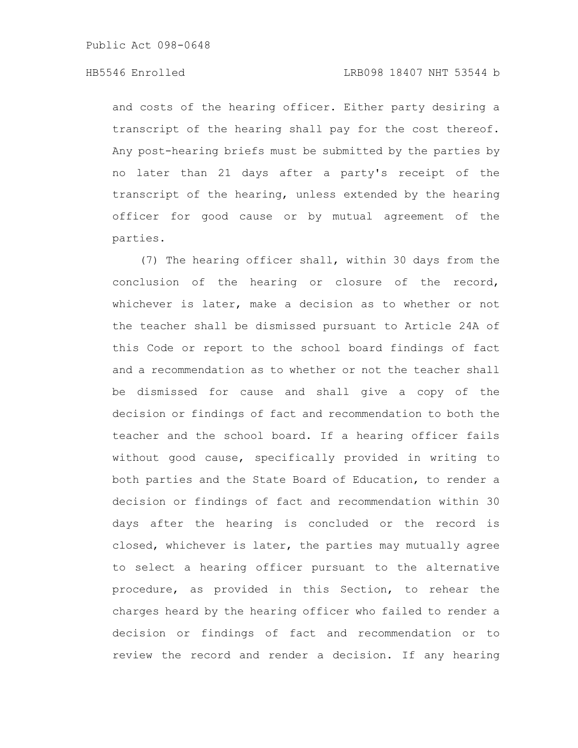and costs of the hearing officer. Either party desiring a transcript of the hearing shall pay for the cost thereof. Any post-hearing briefs must be submitted by the parties by no later than 21 days after a party's receipt of the transcript of the hearing, unless extended by the hearing officer for good cause or by mutual agreement of the parties.

(7) The hearing officer shall, within 30 days from the conclusion of the hearing or closure of the record, whichever is later, make a decision as to whether or not the teacher shall be dismissed pursuant to Article 24A of this Code or report to the school board findings of fact and a recommendation as to whether or not the teacher shall be dismissed for cause and shall give a copy of the decision or findings of fact and recommendation to both the teacher and the school board. If a hearing officer fails without good cause, specifically provided in writing to both parties and the State Board of Education, to render a decision or findings of fact and recommendation within 30 days after the hearing is concluded or the record is closed, whichever is later, the parties may mutually agree to select a hearing officer pursuant to the alternative procedure, as provided in this Section, to rehear the charges heard by the hearing officer who failed to render a decision or findings of fact and recommendation or to review the record and render a decision. If any hearing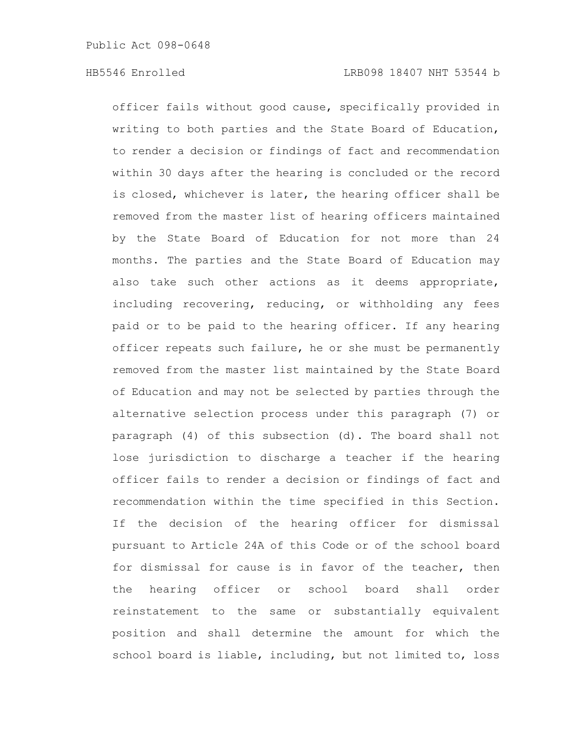officer fails without good cause, specifically provided in writing to both parties and the State Board of Education, to render a decision or findings of fact and recommendation within 30 days after the hearing is concluded or the record is closed, whichever is later, the hearing officer shall be removed from the master list of hearing officers maintained by the State Board of Education for not more than 24 months. The parties and the State Board of Education may also take such other actions as it deems appropriate, including recovering, reducing, or withholding any fees paid or to be paid to the hearing officer. If any hearing officer repeats such failure, he or she must be permanently removed from the master list maintained by the State Board of Education and may not be selected by parties through the alternative selection process under this paragraph (7) or paragraph (4) of this subsection (d). The board shall not lose jurisdiction to discharge a teacher if the hearing officer fails to render a decision or findings of fact and recommendation within the time specified in this Section. If the decision of the hearing officer for dismissal pursuant to Article 24A of this Code or of the school board for dismissal for cause is in favor of the teacher, then the hearing officer or school board shall order reinstatement to the same or substantially equivalent position and shall determine the amount for which the school board is liable, including, but not limited to, loss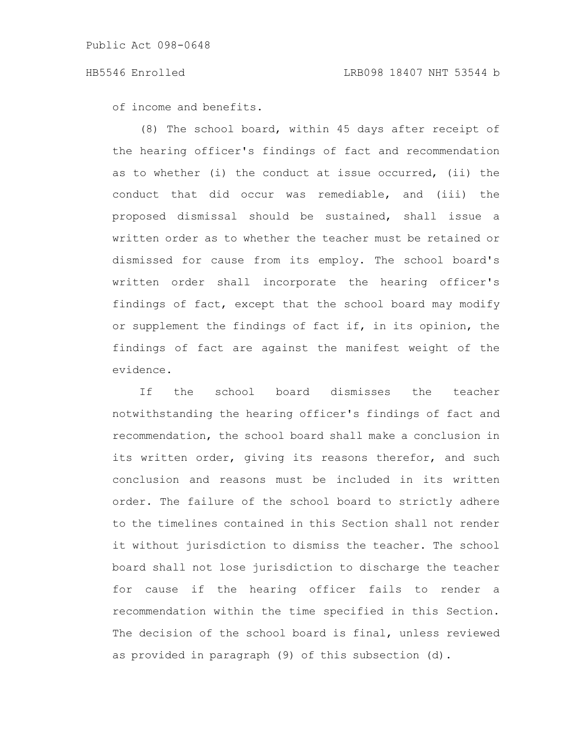of income and benefits.

(8) The school board, within 45 days after receipt of the hearing officer's findings of fact and recommendation as to whether (i) the conduct at issue occurred, (ii) the conduct that did occur was remediable, and (iii) the proposed dismissal should be sustained, shall issue a written order as to whether the teacher must be retained or dismissed for cause from its employ. The school board's written order shall incorporate the hearing officer's findings of fact, except that the school board may modify or supplement the findings of fact if, in its opinion, the findings of fact are against the manifest weight of the evidence.

If the school board dismisses the teacher notwithstanding the hearing officer's findings of fact and recommendation, the school board shall make a conclusion in its written order, giving its reasons therefor, and such conclusion and reasons must be included in its written order. The failure of the school board to strictly adhere to the timelines contained in this Section shall not render it without jurisdiction to dismiss the teacher. The school board shall not lose jurisdiction to discharge the teacher for cause if the hearing officer fails to render a recommendation within the time specified in this Section. The decision of the school board is final, unless reviewed as provided in paragraph (9) of this subsection (d).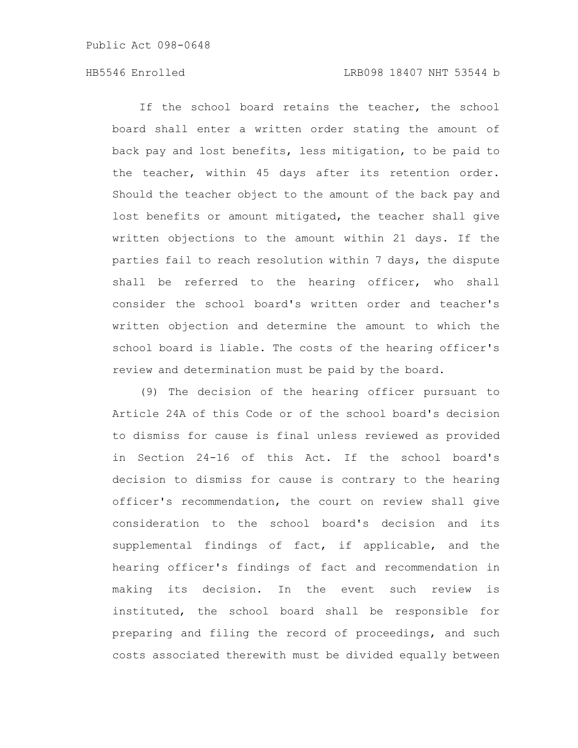Public Act 098-0648

If the school board retains the teacher, the school board shall enter a written order stating the amount of back pay and lost benefits, less mitigation, to be paid to the teacher, within 45 days after its retention order. Should the teacher object to the amount of the back pay and lost benefits or amount mitigated, the teacher shall give written objections to the amount within 21 days. If the parties fail to reach resolution within 7 days, the dispute shall be referred to the hearing officer, who shall consider the school board's written order and teacher's written objection and determine the amount to which the school board is liable. The costs of the hearing officer's review and determination must be paid by the board.

(9) The decision of the hearing officer pursuant to Article 24A of this Code or of the school board's decision to dismiss for cause is final unless reviewed as provided in Section 24-16 of this Act. If the school board's decision to dismiss for cause is contrary to the hearing officer's recommendation, the court on review shall give consideration to the school board's decision and its supplemental findings of fact, if applicable, and the hearing officer's findings of fact and recommendation in making its decision. In the event such review is instituted, the school board shall be responsible for preparing and filing the record of proceedings, and such costs associated therewith must be divided equally between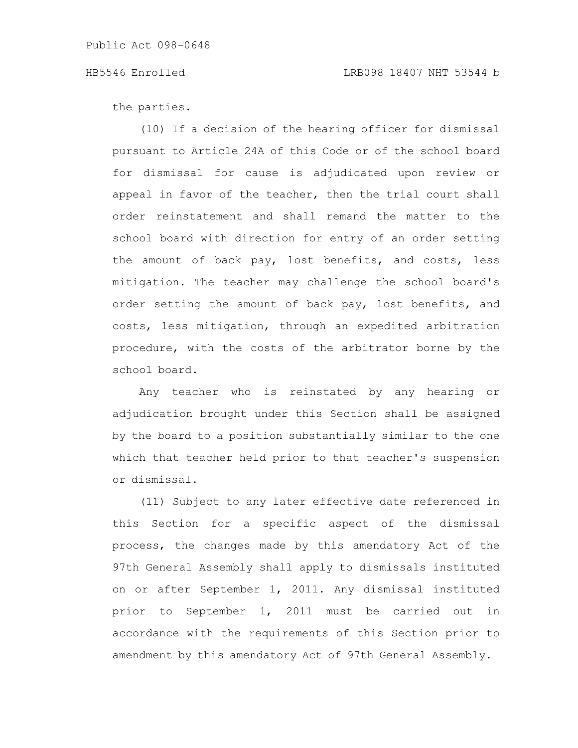the parties.

(10) If a decision of the hearing officer for dismissal pursuant to Article 24A of this Code or of the school board for dismissal for cause is adjudicated upon review or appeal in favor of the teacher, then the trial court shall order reinstatement and shall remand the matter to the school board with direction for entry of an order setting the amount of back pay, lost benefits, and costs, less mitigation. The teacher may challenge the school board's order setting the amount of back pay, lost benefits, and costs, less mitigation, through an expedited arbitration procedure, with the costs of the arbitrator borne by the school board.

Any teacher who is reinstated by any hearing or adjudication brought under this Section shall be assigned by the board to a position substantially similar to the one which that teacher held prior to that teacher's suspension or dismissal.

(11) Subject to any later effective date referenced in this Section for a specific aspect of the dismissal process, the changes made by this amendatory Act of the 97th General Assembly shall apply to dismissals instituted on or after September 1, 2011. Any dismissal instituted prior to September 1, 2011 must be carried out in accordance with the requirements of this Section prior to amendment by this amendatory Act of 97th General Assembly.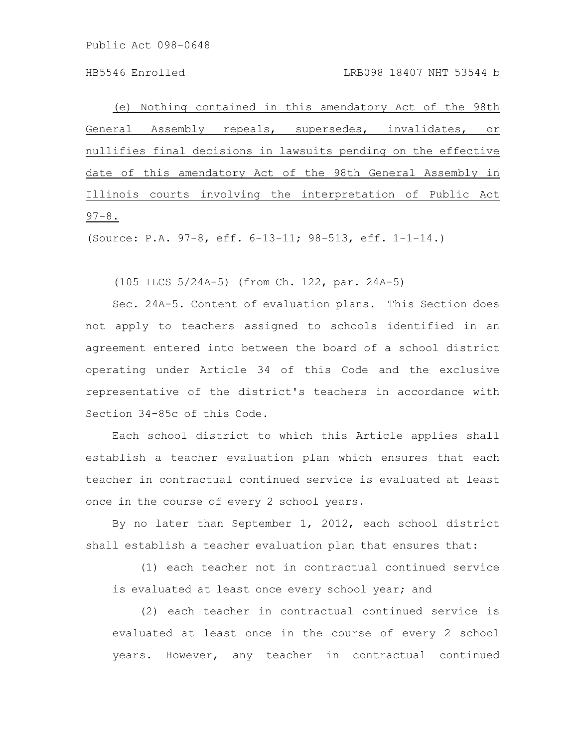Public Act 098-0648

(e) Nothing contained in this amendatory Act of the 98th General Assembly repeals, supersedes, invalidates, or nullifies final decisions in lawsuits pending on the effective date of this amendatory Act of the 98th General Assembly in Illinois courts involving the interpretation of Public Act  $97 - 8$ .

(Source: P.A. 97-8, eff. 6-13-11; 98-513, eff. 1-1-14.)

(105 ILCS 5/24A-5) (from Ch. 122, par. 24A-5)

Sec. 24A-5. Content of evaluation plans. This Section does not apply to teachers assigned to schools identified in an agreement entered into between the board of a school district operating under Article 34 of this Code and the exclusive representative of the district's teachers in accordance with Section 34-85c of this Code.

Each school district to which this Article applies shall establish a teacher evaluation plan which ensures that each teacher in contractual continued service is evaluated at least once in the course of every 2 school years.

By no later than September 1, 2012, each school district shall establish a teacher evaluation plan that ensures that:

(1) each teacher not in contractual continued service is evaluated at least once every school year; and

(2) each teacher in contractual continued service is evaluated at least once in the course of every 2 school years. However, any teacher in contractual continued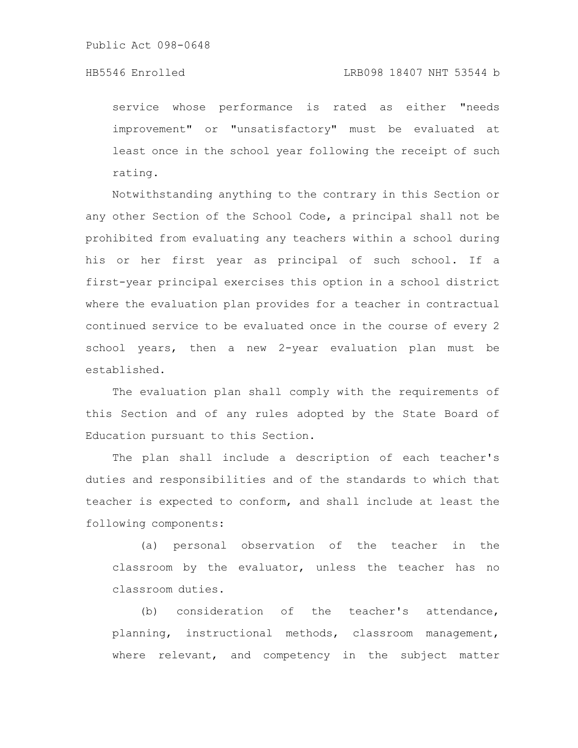service whose performance is rated as either "needs improvement" or "unsatisfactory" must be evaluated at least once in the school year following the receipt of such rating.

Notwithstanding anything to the contrary in this Section or any other Section of the School Code, a principal shall not be prohibited from evaluating any teachers within a school during his or her first year as principal of such school. If a first-year principal exercises this option in a school district where the evaluation plan provides for a teacher in contractual continued service to be evaluated once in the course of every 2 school years, then a new 2-year evaluation plan must be established.

The evaluation plan shall comply with the requirements of this Section and of any rules adopted by the State Board of Education pursuant to this Section.

The plan shall include a description of each teacher's duties and responsibilities and of the standards to which that teacher is expected to conform, and shall include at least the following components:

(a) personal observation of the teacher in the classroom by the evaluator, unless the teacher has no classroom duties.

(b) consideration of the teacher's attendance, planning, instructional methods, classroom management, where relevant, and competency in the subject matter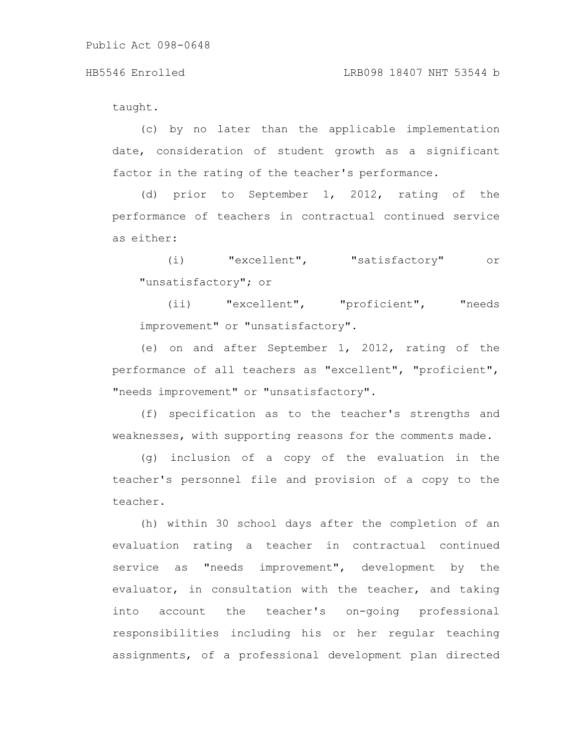taught.

(c) by no later than the applicable implementation date, consideration of student growth as a significant factor in the rating of the teacher's performance.

(d) prior to September 1, 2012, rating of the performance of teachers in contractual continued service as either:

(i) "excellent", "satisfactory" or "unsatisfactory"; or

(ii) "excellent", "proficient", "needs improvement" or "unsatisfactory".

(e) on and after September 1, 2012, rating of the performance of all teachers as "excellent", "proficient", "needs improvement" or "unsatisfactory".

(f) specification as to the teacher's strengths and weaknesses, with supporting reasons for the comments made.

(g) inclusion of a copy of the evaluation in the teacher's personnel file and provision of a copy to the teacher.

(h) within 30 school days after the completion of an evaluation rating a teacher in contractual continued service as "needs improvement", development by the evaluator, in consultation with the teacher, and taking into account the teacher's on-going professional responsibilities including his or her regular teaching assignments, of a professional development plan directed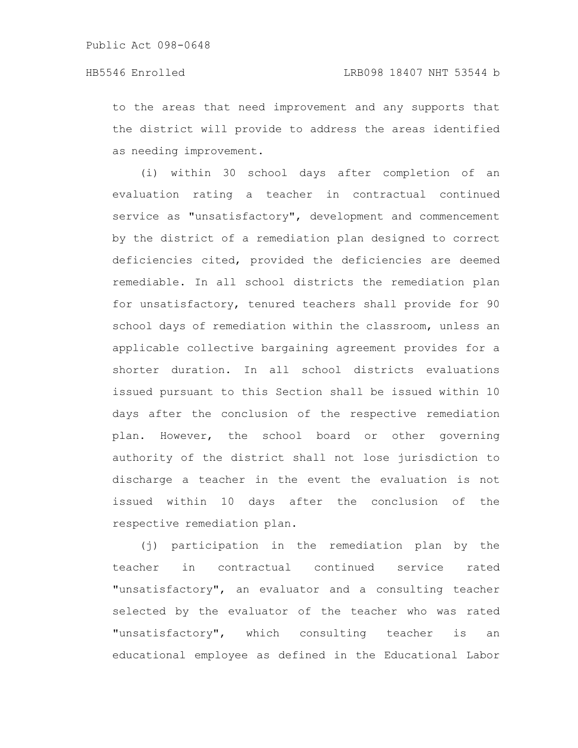to the areas that need improvement and any supports that the district will provide to address the areas identified as needing improvement.

(i) within 30 school days after completion of an evaluation rating a teacher in contractual continued service as "unsatisfactory", development and commencement by the district of a remediation plan designed to correct deficiencies cited, provided the deficiencies are deemed remediable. In all school districts the remediation plan for unsatisfactory, tenured teachers shall provide for 90 school days of remediation within the classroom, unless an applicable collective bargaining agreement provides for a shorter duration. In all school districts evaluations issued pursuant to this Section shall be issued within 10 days after the conclusion of the respective remediation plan. However, the school board or other governing authority of the district shall not lose jurisdiction to discharge a teacher in the event the evaluation is not issued within 10 days after the conclusion of the respective remediation plan.

(j) participation in the remediation plan by the teacher in contractual continued service rated "unsatisfactory", an evaluator and a consulting teacher selected by the evaluator of the teacher who was rated "unsatisfactory", which consulting teacher is an educational employee as defined in the Educational Labor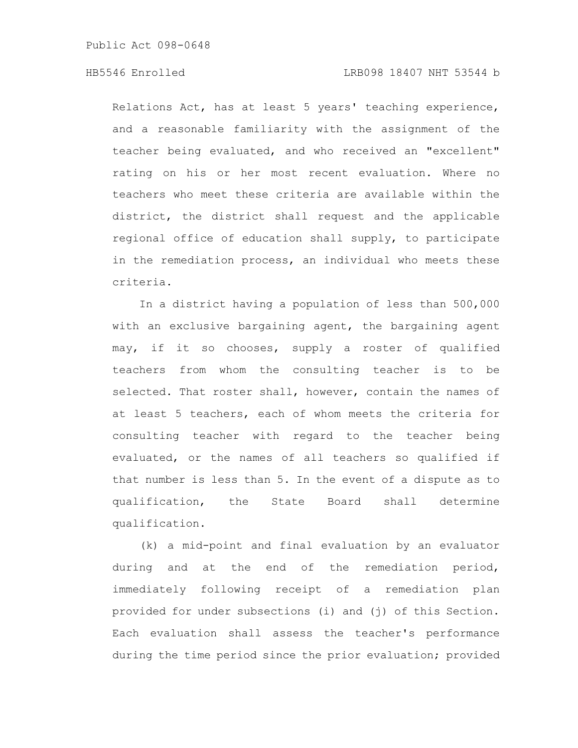Public Act 098-0648

# HB5546 Enrolled LRB098 18407 NHT 53544 b

Relations Act, has at least 5 years' teaching experience, and a reasonable familiarity with the assignment of the teacher being evaluated, and who received an "excellent" rating on his or her most recent evaluation. Where no teachers who meet these criteria are available within the district, the district shall request and the applicable regional office of education shall supply, to participate in the remediation process, an individual who meets these criteria.

In a district having a population of less than 500,000 with an exclusive bargaining agent, the bargaining agent may, if it so chooses, supply a roster of qualified teachers from whom the consulting teacher is to be selected. That roster shall, however, contain the names of at least 5 teachers, each of whom meets the criteria for consulting teacher with regard to the teacher being evaluated, or the names of all teachers so qualified if that number is less than 5. In the event of a dispute as to qualification, the State Board shall determine qualification.

(k) a mid-point and final evaluation by an evaluator during and at the end of the remediation period, immediately following receipt of a remediation plan provided for under subsections (i) and (j) of this Section. Each evaluation shall assess the teacher's performance during the time period since the prior evaluation; provided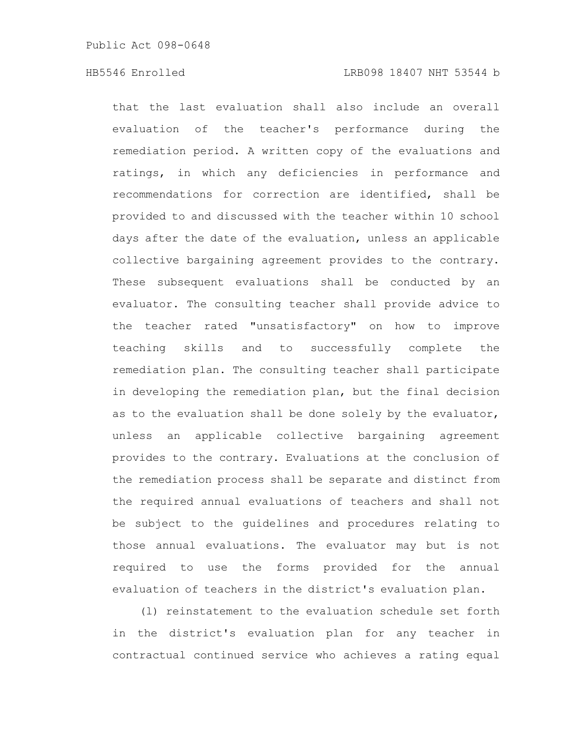that the last evaluation shall also include an overall evaluation of the teacher's performance during the remediation period. A written copy of the evaluations and ratings, in which any deficiencies in performance and recommendations for correction are identified, shall be provided to and discussed with the teacher within 10 school days after the date of the evaluation, unless an applicable collective bargaining agreement provides to the contrary. These subsequent evaluations shall be conducted by an evaluator. The consulting teacher shall provide advice to the teacher rated "unsatisfactory" on how to improve teaching skills and to successfully complete the remediation plan. The consulting teacher shall participate in developing the remediation plan, but the final decision as to the evaluation shall be done solely by the evaluator, unless an applicable collective bargaining agreement provides to the contrary. Evaluations at the conclusion of the remediation process shall be separate and distinct from the required annual evaluations of teachers and shall not be subject to the guidelines and procedures relating to those annual evaluations. The evaluator may but is not required to use the forms provided for the annual evaluation of teachers in the district's evaluation plan.

(l) reinstatement to the evaluation schedule set forth in the district's evaluation plan for any teacher in contractual continued service who achieves a rating equal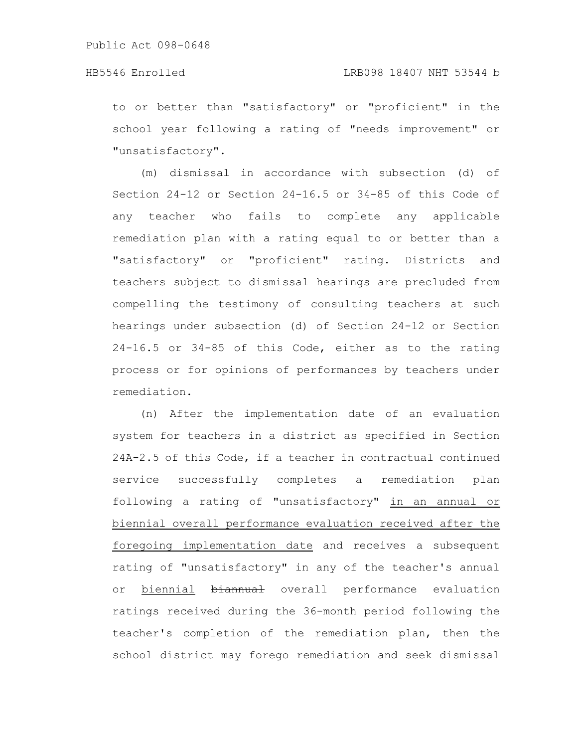to or better than "satisfactory" or "proficient" in the school year following a rating of "needs improvement" or "unsatisfactory".

(m) dismissal in accordance with subsection (d) of Section 24-12 or Section 24-16.5 or 34-85 of this Code of any teacher who fails to complete any applicable remediation plan with a rating equal to or better than a "satisfactory" or "proficient" rating. Districts and teachers subject to dismissal hearings are precluded from compelling the testimony of consulting teachers at such hearings under subsection (d) of Section 24-12 or Section 24-16.5 or 34-85 of this Code, either as to the rating process or for opinions of performances by teachers under remediation.

(n) After the implementation date of an evaluation system for teachers in a district as specified in Section 24A-2.5 of this Code, if a teacher in contractual continued service successfully completes a remediation plan following a rating of "unsatisfactory" in an annual or biennial overall performance evaluation received after the foregoing implementation date and receives a subsequent rating of "unsatisfactory" in any of the teacher's annual or biennial biannual overall performance evaluation ratings received during the 36-month period following the teacher's completion of the remediation plan, then the school district may forego remediation and seek dismissal